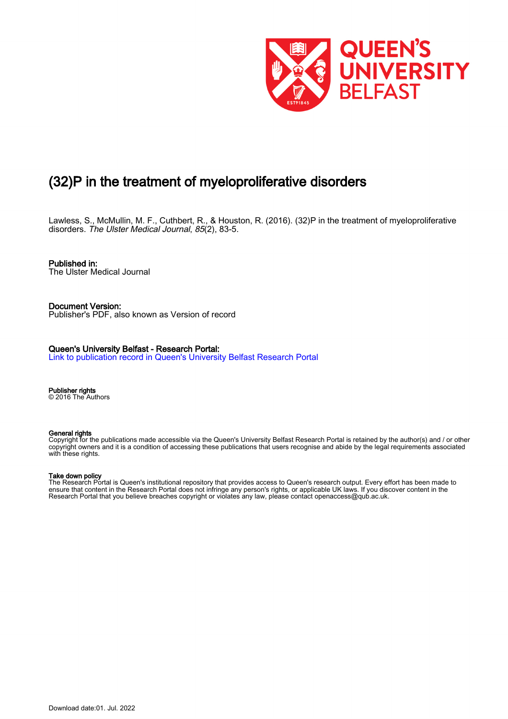

# (32)P in the treatment of myeloproliferative disorders

Lawless, S., McMullin, M. F., Cuthbert, R., & Houston, R. (2016). (32)P in the treatment of myeloproliferative disorders. The Ulster Medical Journal, 85(2), 83-5.

Published in: The Ulster Medical Journal

Document Version: Publisher's PDF, also known as Version of record

Queen's University Belfast - Research Portal: [Link to publication record in Queen's University Belfast Research Portal](https://pure.qub.ac.uk/en/publications/c1d7f016-b482-490c-a067-f7eb16a28bf2)

Publisher rights © 2016 The Authors

#### General rights

Copyright for the publications made accessible via the Queen's University Belfast Research Portal is retained by the author(s) and / or other copyright owners and it is a condition of accessing these publications that users recognise and abide by the legal requirements associated with these rights.

#### Take down policy

The Research Portal is Queen's institutional repository that provides access to Queen's research output. Every effort has been made to ensure that content in the Research Portal does not infringe any person's rights, or applicable UK laws. If you discover content in the Research Portal that you believe breaches copyright or violates any law, please contact openaccess@qub.ac.uk.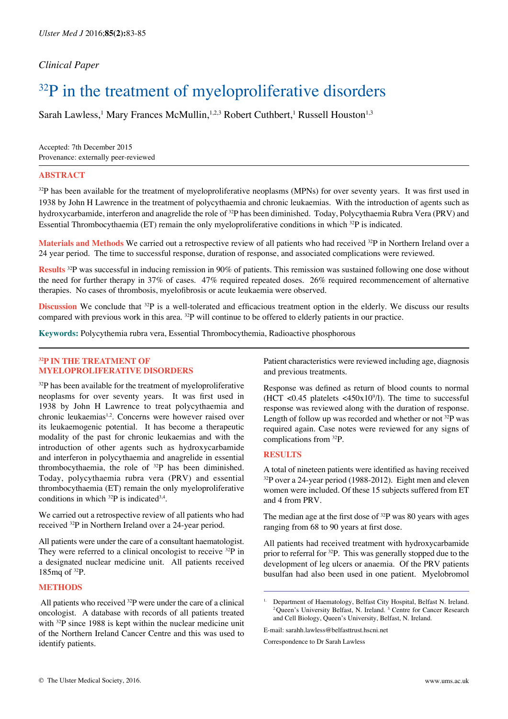# *Clinical Paper*

# <sup>32</sup>P in the treatment of myeloproliferative disorders

Sarah Lawless,<sup>1</sup> Mary Frances McMullin,<sup>1,2,3</sup> Robert Cuthbert,<sup>1</sup> Russell Houston<sup>1,3</sup>

Accepted: 7th December 2015 Provenance: externally peer-reviewed

### **ABSTRACT**

 $32P$  has been available for the treatment of myeloproliferative neoplasms (MPNs) for over seventy years. It was first used in 1938 by John H Lawrence in the treatment of polycythaemia and chronic leukaemias. With the introduction of agents such as hydroxycarbamide, interferon and anagrelide the role of 32P has been diminished. Today, Polycythaemia Rubra Vera (PRV) and Essential Thrombocythaemia (ET) remain the only myeloproliferative conditions in which 32P is indicated.

**Materials and Methods** We carried out a retrospective review of all patients who had received <sup>32</sup>P in Northern Ireland over a 24 year period. The time to successful response, duration of response, and associated complications were reviewed.

Results <sup>32</sup>P was successful in inducing remission in 90% of patients. This remission was sustained following one dose without the need for further therapy in 37% of cases. 47% required repeated doses. 26% required recommencement of alternative therapies. No cases of thrombosis, myelofibrosis or acute leukaemia were observed.

**Discussion** We conclude that 32P is a well-tolerated and efficacious treatment option in the elderly. We discuss our results compared with previous work in this area.  $^{32}P$  will continue to be offered to elderly patients in our practice.

**Keywords:** Polycythemia rubra vera, Essential Thrombocythemia, Radioactive phosphorous

# **32P IN THE TREATMENT OF MYELOPROLIFERATIVE DISORDERS**

 $32P$  has been available for the treatment of myeloproliferative neoplasms for over seventy years. It was first used in 1938 by John H Lawrence to treat polycythaemia and chronic leukaemias<sup>1,2</sup>. Concerns were however raised over its leukaemogenic potential. It has become a therapeutic modality of the past for chronic leukaemias and with the introduction of other agents such as hydroxycarbamide and interferon in polycythaemia and anagrelide in essential thrombocythaemia, the role of  $32P$  has been diminished. Today, polycythaemia rubra vera (PRV) and essential thrombocythaemia (ET) remain the only myeloproliferative conditions in which  $^{32}P$  is indicated<sup>3,4</sup>.

We carried out a retrospective review of all patients who had received 32P in Northern Ireland over a 24-year period.

All patients were under the care of a consultant haematologist. They were referred to a clinical oncologist to receive <sup>32</sup>P in a designated nuclear medicine unit. All patients received 185mq of 32P.

# **METHODS**

 All patients who received 32P were under the care of a clinical oncologist. A database with records of all patients treated with <sup>32</sup>P since 1988 is kept within the nuclear medicine unit of the Northern Ireland Cancer Centre and this was used to identify patients.

Patient characteristics were reviewed including age, diagnosis and previous treatments.

Response was defined as return of blood counts to normal (HCT <0.45 platelets <450x10 $\degree$ /l). The time to successful response was reviewed along with the duration of response. Length of follow up was recorded and whether or not  $32P$  was required again. Case notes were reviewed for any signs of complications from 32P.

### **RESULTS**

A total of nineteen patients were identified as having received <sup>32</sup>P over a 24-year period (1988-2012). Eight men and eleven women were included. Of these 15 subjects suffered from ET and 4 from PRV.

The median age at the first dose of  $32P$  was 80 years with ages ranging from 68 to 90 years at first dose.

All patients had received treatment with hydroxycarbamide prior to referral for 32P. This was generally stopped due to the development of leg ulcers or anaemia. Of the PRV patients busulfan had also been used in one patient. Myelobromol

E-mail: sarahh.lawless@belfasttrust.hscni.net

Correspondence to Dr Sarah Lawless

<sup>1.</sup> Department of Haematology, Belfast City Hospital, Belfast N. Ireland. <sup>2</sup>Queen's University Belfast, N. Ireland. <sup>3.</sup> Centre for Cancer Research and Cell Biology, Queen's University, Belfast, N. Ireland.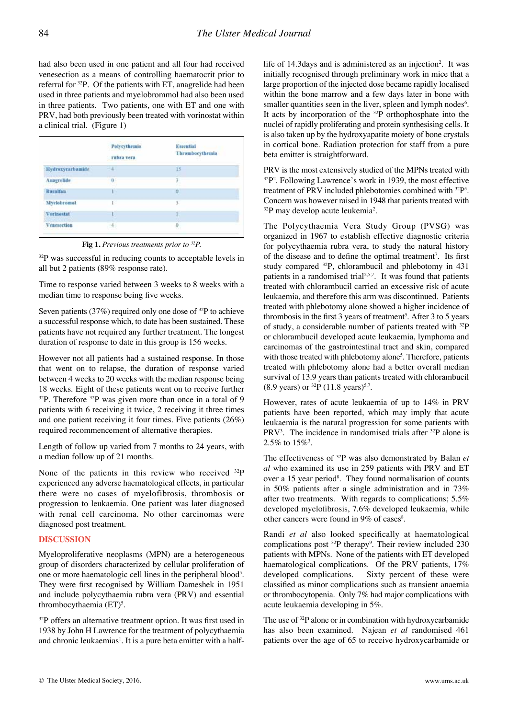had also been used in one patient and all four had received venesection as a means of controlling haematocrit prior to referral for 32P. Of the patients with ET, anagrelide had been used in three patients and myelobrommol had also been used in three patients. Two patients, one with ET and one with PRV, had both previously been treated with vorinostat within a clinical trial. (Figure 1)

|                                            | Polycythemia<br>rubra vera | <b>Essential</b><br>Thrombocythemia |
|--------------------------------------------|----------------------------|-------------------------------------|
| <b>Hydroxycarbamide</b>                    | $\mathcal{A}$              | 15                                  |
| Anagrelide                                 | o                          | 3                                   |
| <b>Busulfan</b><br><b>THE MANUFACTURER</b> | г                          | o                                   |
| Myclobromol                                | r.                         | 3                                   |
| <b>Vorinostat</b>                          |                            |                                     |
| Venesection                                | 4.                         | $\theta$                            |

**Fig 1.** *Previous treatments prior to 32P.* 

<sup>32</sup>P was successful in reducing counts to acceptable levels in all but 2 patients (89% response rate).

Time to response varied between 3 weeks to 8 weeks with a median time to response being five weeks.

Seven patients (37%) required only one dose of  $^{32}P$  to achieve a successful response which, to date has been sustained. These patients have not required any further treatment. The longest duration of response to date in this group is 156 weeks.

However not all patients had a sustained response. In those that went on to relapse, the duration of response varied between 4 weeks to 20 weeks with the median response being 18 weeks. Eight of these patients went on to receive further  $32P$ . Therefore  $32P$  was given more than once in a total of 9 patients with 6 receiving it twice, 2 receiving it three times and one patient receiving it four times. Five patients (26%) required recommencement of alternative therapies.

Length of follow up varied from 7 months to 24 years, with a median follow up of 21 months.

None of the patients in this review who received <sup>32</sup>P experienced any adverse haematological effects, in particular there were no cases of myelofibrosis, thrombosis or progression to leukaemia. One patient was later diagnosed with renal cell carcinoma. No other carcinomas were diagnosed post treatment.

## **DISCUSSION**

Myeloproliferative neoplasms (MPN) are a heterogeneous group of disorders characterized by cellular proliferation of one or more haematologic cell lines in the peripheral blood<sup>5</sup>. They were first recognised by William Dameshek in 1951 and include polycythaemia rubra vera (PRV) and essential thrombocythaemia  $(ET)^5$ .

<sup>32</sup>P offers an alternative treatment option. It was first used in 1938 by John H Lawrence for the treatment of polycythaemia and chronic leukaemias<sup>1</sup>. It is a pure beta emitter with a half-

life of 14.3 days and is administered as an injection<sup>2</sup>. It was initially recognised through preliminary work in mice that a large proportion of the injected dose became rapidly localised within the bone marrow and a few days later in bone with smaller quantities seen in the liver, spleen and lymph nodes<sup>6</sup>. It acts by incorporation of the 32P orthophosphate into the nuclei of rapidly proliferating and protein synthesising cells. It is also taken up by the hydroxyapatite moiety of bone crystals in cortical bone. Radiation protection for staff from a pure beta emitter is straightforward.

PRV is the most extensively studied of the MPNs treated with 32P2 . Following Lawrence's work in 1939, the most effective treatment of PRV included phlebotomies combined with <sup>32</sup>P<sup>5</sup>. Concern was however raised in 1948 that patients treated with <sup>32</sup>P may develop acute leukemia<sup>2</sup>.

The Polycythaemia Vera Study Group (PVSG) was organized in 1967 to establish effective diagnostic criteria for polycythaemia rubra vera, to study the natural history of the disease and to define the optimal treatment<sup>7</sup>. Its first study compared 32P, chlorambucil and phlebotomy in 431 patients in a randomised trial<sup> $2,5,7$ </sup>. It was found that patients treated with chlorambucil carried an excessive risk of acute leukaemia, and therefore this arm was discontinued. Patients treated with phlebotomy alone showed a higher incidence of thrombosis in the first  $3$  years of treatment<sup>5</sup>. After  $3$  to  $5$  years of study, a considerable number of patients treated with 32P or chlorambucil developed acute leukaemia, lymphoma and carcinomas of the gastrointestinal tract and skin, compared with those treated with phlebotomy alone<sup>5</sup>. Therefore, patients treated with phlebotomy alone had a better overall median survival of 13.9 years than patients treated with chlorambucil (8.9 years) or  $^{32}P$  (11.8 years)<sup>5,7</sup>.

However, rates of acute leukaemia of up to 14% in PRV patients have been reported, which may imply that acute leukaemia is the natural progression for some patients with PRV<sup>3</sup>. The incidence in randomised trials after  $32P$  alone is 2.5% to  $15\%$ <sup>3</sup>.

The effectiveness of 32P was also demonstrated by Balan *et al* who examined its use in 259 patients with PRV and ET over a 15 year period<sup>8</sup>. They found normalisation of counts in 50% patients after a single administration and in 73% after two treatments. With regards to complications; 5.5% developed myelofibrosis, 7.6% developed leukaemia, while other cancers were found in 9% of cases<sup>8</sup>.

Randi *et al* also looked specifically at haematological complications post  $^{32}P$  therapy<sup>9</sup>. Their review included 230 patients with MPNs. None of the patients with ET developed haematological complications. Of the PRV patients, 17% developed complications. Sixty percent of these were classified as minor complications such as transient anaemia or thrombocytopenia. Only 7% had major complications with acute leukaemia developing in 5%.

The use of <sup>32</sup>P alone or in combination with hydroxycarbamide has also been examined. Najean *et al* randomised 461 patients over the age of 65 to receive hydroxycarbamide or